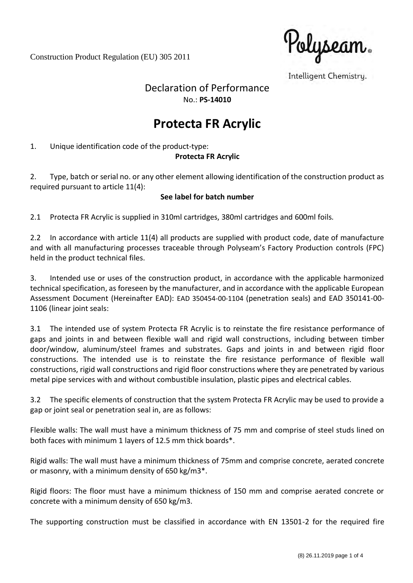Construction Product Regulation (EU) 305 2011

'Polyseam.

Intelligent Chemistry.

# Declaration of Performance No.: **PS-14010**

# **Protecta FR Acrylic**

1. Unique identification code of the product-type:

## **Protecta FR Acrylic**

2. Type, batch or serial no. or any other element allowing identification of the construction product as required pursuant to article 11(4):

#### **See label for batch number**

2.1 Protecta FR Acrylic is supplied in 310ml cartridges, 380ml cartridges and 600ml foils.

2.2 In accordance with article 11(4) all products are supplied with product code, date of manufacture and with all manufacturing processes traceable through Polyseam's Factory Production controls (FPC) held in the product technical files.

3. Intended use or uses of the construction product, in accordance with the applicable harmonized technical specification, as foreseen by the manufacturer, and in accordance with the applicable European Assessment Document (Hereinafter EAD): EAD 350454-00-1104 (penetration seals) and EAD 350141-00- 1106 (linear joint seals:

3.1 The intended use of system Protecta FR Acrylic is to reinstate the fire resistance performance of gaps and joints in and between flexible wall and rigid wall constructions, including between timber door/window, aluminum/steel frames and substrates. Gaps and joints in and between rigid floor constructions. The intended use is to reinstate the fire resistance performance of flexible wall constructions, rigid wall constructions and rigid floor constructions where they are penetrated by various metal pipe services with and without combustible insulation, plastic pipes and electrical cables.

3.2 The specific elements of construction that the system Protecta FR Acrylic may be used to provide a gap or joint seal or penetration seal in, are as follows:

Flexible walls: The wall must have a minimum thickness of 75 mm and comprise of steel studs lined on both faces with minimum 1 layers of 12.5 mm thick boards\*.

Rigid walls: The wall must have a minimum thickness of 75mm and comprise concrete, aerated concrete or masonry, with a minimum density of 650 kg/m3\*.

Rigid floors: The floor must have a minimum thickness of 150 mm and comprise aerated concrete or concrete with a minimum density of 650 kg/m3.

The supporting construction must be classified in accordance with EN 13501-2 for the required fire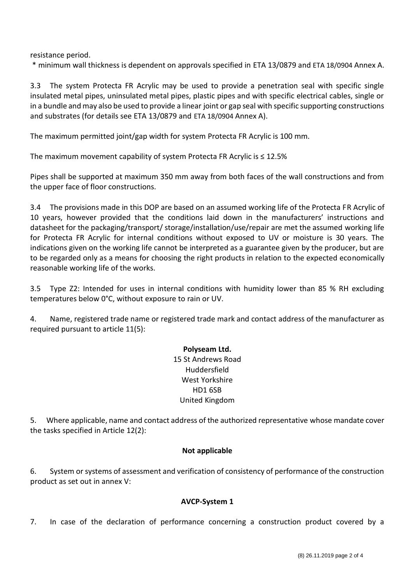resistance period.

\* minimum wall thickness is dependent on approvals specified in ETA 13/0879 and ETA 18/0904 Annex A.

3.3 The system Protecta FR Acrylic may be used to provide a penetration seal with specific single insulated metal pipes, uninsulated metal pipes, plastic pipes and with specific electrical cables, single or in a bundle and may also be used to provide a linear joint or gap seal with specific supporting constructions and substrates (for details see ETA 13/0879 and ETA 18/0904 Annex A).

The maximum permitted joint/gap width for system Protecta FR Acrylic is 100 mm.

The maximum movement capability of system Protecta FR Acrylic is ≤ 12.5%

Pipes shall be supported at maximum 350 mm away from both faces of the wall constructions and from the upper face of floor constructions.

3.4 The provisions made in this DOP are based on an assumed working life of the Protecta FR Acrylic of 10 years, however provided that the conditions laid down in the manufacturers' instructions and datasheet for the packaging/transport/ storage/installation/use/repair are met the assumed working life for Protecta FR Acrylic for internal conditions without exposed to UV or moisture is 30 years. The indications given on the working life cannot be interpreted as a guarantee given by the producer, but are to be regarded only as a means for choosing the right products in relation to the expected economically reasonable working life of the works.

3.5 Type Z2: Intended for uses in internal conditions with humidity lower than 85 % RH excluding temperatures below 0°C, without exposure to rain or UV.

4. Name, registered trade name or registered trade mark and contact address of the manufacturer as required pursuant to article 11(5):

> **Polyseam Ltd.** 15 St Andrews Road Huddersfield West Yorkshire HD1 6SB United Kingdom

5. Where applicable, name and contact address of the authorized representative whose mandate cover the tasks specified in Article 12(2):

#### **Not applicable**

6. System or systems of assessment and verification of consistency of performance of the construction product as set out in annex V:

#### **AVCP-System 1**

7. In case of the declaration of performance concerning a construction product covered by a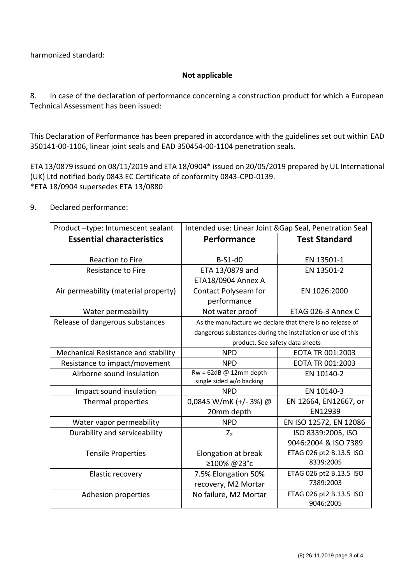harmonized standard:

### **Not applicable**

8. In case of the declaration of performance concerning a construction product for which a European Technical Assessment has been issued:

This Declaration of Performance has been prepared in accordance with the guidelines set out within EAD 350141-00-1106, linear joint seals and EAD 350454-00-1104 penetration seals.

ETA 13/0879 issued on 08/11/2019 and ETA 18/0904\* issued on 20/05/2019 prepared by UL International (UK) Ltd notified body 0843 EC Certificate of conformity 0843-CPD-0139. \*ETA 18/0904 supersedes ETA 13/0880

9. Declared performance:

| Product-type: Intumescent sealant    | Intended use: Linear Joint & Gap Seal, Penetration Seal     |                                            |
|--------------------------------------|-------------------------------------------------------------|--------------------------------------------|
| <b>Essential characteristics</b>     | Performance                                                 | <b>Test Standard</b>                       |
| <b>Reaction to Fire</b>              | $B-S1-d0$                                                   | EN 13501-1                                 |
| <b>Resistance to Fire</b>            | ETA 13/0879 and<br><b>ETA18/0904 Annex A</b>                | EN 13501-2                                 |
| Air permeability (material property) | Contact Polyseam for<br>performance                         | EN 1026:2000                               |
| Water permeability                   | Not water proof                                             | ETAG 026-3 Annex C                         |
| Release of dangerous substances      | As the manufacture we declare that there is no release of   |                                            |
|                                      | dangerous substances during the installation or use of this |                                            |
|                                      | product. See safety data sheets                             |                                            |
| Mechanical Resistance and stability  | <b>NPD</b>                                                  | EOTA TR 001:2003                           |
| Resistance to impact/movement        | <b>NPD</b>                                                  | EOTA TR 001:2003                           |
| Airborne sound insulation            | $Rw = 62dB \omega 12mm$ depth<br>single sided w/o backing   | EN 10140-2                                 |
| Impact sound insulation              | <b>NPD</b>                                                  | EN 10140-3                                 |
| Thermal properties                   | 0,0845 W/mK (+/-3%) @<br>20mm depth                         | EN 12664, EN12667, or<br>EN12939           |
| Water vapor permeability             | <b>NPD</b>                                                  | EN ISO 12572, EN 12086                     |
| Durability and serviceability        | $Z_{2}$                                                     | ISO 8339:2005, ISO<br>9046:2004 & ISO 7389 |
| <b>Tensile Properties</b>            | Elongation at break<br>≥100% @23°c                          | ETAG 026 pt2 B.13.5 ISO<br>8339:2005       |
| Elastic recovery                     | 7.5% Elongation 50%<br>recovery, M2 Mortar                  | ETAG 026 pt2 B.13.5 ISO<br>7389:2003       |
| Adhesion properties                  | No failure, M2 Mortar                                       | ETAG 026 pt2 B.13.5 ISO<br>9046:2005       |